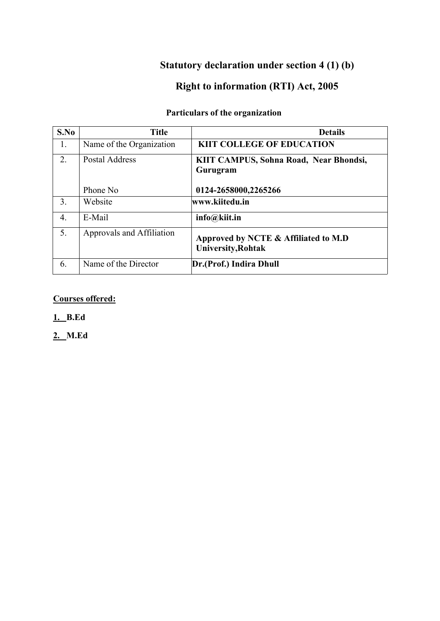# **Statutory declaration under section 4 (1) (b)**

# **Right to information (RTI) Act, 2005**

# **Particulars of the organization**

| S.No             | <b>Title</b>              | <b>Details</b>                                                    |
|------------------|---------------------------|-------------------------------------------------------------------|
| 1.               | Name of the Organization  | <b>KIIT COLLEGE OF EDUCATION</b>                                  |
| 2.               | <b>Postal Address</b>     | KIIT CAMPUS, Sohna Road, Near Bhondsi,<br>Gurugram                |
|                  | Phone No                  | 0124-2658000,2265266                                              |
| 3.               | Website                   | www.kiitedu.in                                                    |
| $\overline{4}$ . | E-Mail                    | $info@kii$ t.in                                                   |
| 5.               | Approvals and Affiliation | Approved by NCTE & Affiliated to M.D<br><b>University, Rohtak</b> |
| 6.               | Name of the Director      | Dr.(Prof.) Indira Dhull                                           |

### **Courses offered:**

**1. B.Ed**

**2. M.Ed**